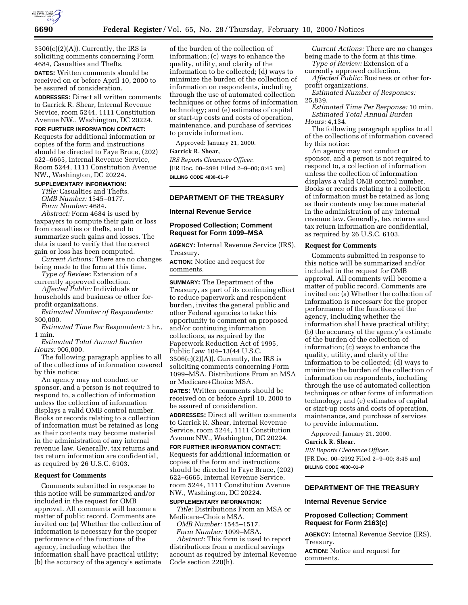

 $3506(c)(2)(A)$ . Currently, the IRS is soliciting comments concerning Form 4684, Casualties and Thefts.

**DATES:** Written comments should be received on or before April 10, 2000 to be assured of consideration.

**ADDRESSES:** Direct all written comments to Garrick R. Shear, Internal Revenue Service, room 5244, 1111 Constitution Avenue NW., Washington, DC 20224.

## **FOR FURTHER INFORMATION CONTACT:**

Requests for additional information or copies of the form and instructions should be directed to Faye Bruce, (202) 622–6665, Internal Revenue Service, Room 5244, 1111 Constitution Avenue NW., Washington, DC 20224.

### **SUPPLEMENTARY INFORMATION:**

*Title:* Casualties and Thefts. *OMB Number:* 1545–0177. *Form Number:* 4684.

*Abstract:* Form 4684 is used by taxpayers to compute their gain or loss from casualties or thefts, and to summarize such gains and losses. The data is used to verify that the correct gain or loss has been computed.

*Current Actions:* There are no changes being made to the form at this time.

*Type of Review:* Extension of a currently approved collection.

*Affected Public:* Individuals or households and business or other forprofit organizations.

*Estimated Number of Respondents:* 300,000.

*Estimated Time Per Respondent:* 3 hr., 1 min.

*Estimated Total Annual Burden Hours:* 906,000.

The following paragraph applies to all of the collections of information covered by this notice:

An agency may not conduct or sponsor, and a person is not required to respond to, a collection of information unless the collection of information displays a valid OMB control number. Books or records relating to a collection of information must be retained as long as their contents may become material in the administration of any internal revenue law. Generally, tax returns and tax return information are confidential, as required by 26 U.S.C. 6103.

#### **Request for Comments**

Comments submitted in response to this notice will be summarized and/or included in the request for OMB approval. All comments will become a matter of public record. Comments are invited on: (a) Whether the collection of information is necessary for the proper performance of the functions of the agency, including whether the information shall have practical utility; (b) the accuracy of the agency's estimate

of the burden of the collection of information; (c) ways to enhance the quality, utility, and clarity of the information to be collected; (d) ways to minimize the burden of the collection of information on respondents, including through the use of automated collection techniques or other forms of information technology; and (e) estimates of capital or start-up costs and costs of operation, maintenance, and purchase of services to provide information.

Approved: January 21, 2000.

# **Garrick R. Shear,**

*IRS Reports Clearance Officer.* [FR Doc. 00–2991 Filed 2–9–00; 8:45 am] **BILLING CODE 4830–01–P**

### **DEPARTMENT OF THE TREASURY**

### **Internal Revenue Service**

### **Proposed Collection; Comment Request for Form 1099–MSA**

**AGENCY:** Internal Revenue Service (IRS), Treasury.

**ACTION:** Notice and request for comments.

**SUMMARY:** The Department of the Treasury, as part of its continuing effort to reduce paperwork and respondent burden, invites the general public and other Federal agencies to take this opportunity to comment on proposed and/or continuing information collections, as required by the Paperwork Reduction Act of 1995, Public Law 104–13(44 U.S.C.  $3506(c)(2)(A)$ . Currently, the IRS is soliciting comments concerning Form 1099–MSA, Distributions From an MSA or Medicare+Choice MSA.

**DATES:** Written comments should be received on or before April 10, 2000 to be assured of consideration.

**ADDRESSES:** Direct all written comments to Garrick R. Shear, Internal Revenue Service, room 5244, 1111 Constitution Avenue NW., Washington, DC 20224.

**FOR FURTHER INFORMATION CONTACT:** Requests for additional information or copies of the form and instructions should be directed to Faye Bruce, (202) 622–6665, Internal Revenue Service, room 5244, 1111 Constitution Avenue NW., Washington, DC 20224.

#### **SUPPLEMENTARY INFORMATION:**

*Title:* Distributions From an MSA or Medicare+Choice MSA.

*OMB Number:* 1545–1517. *Form Number:* 1099–MSA.

*Abstract:* This form is used to report distributions from a medical savings account as required by Internal Revenue Code section 220(h).

*Current Actions:* There are no changes being made to the form at this time.

*Type of Review:* Extension of a currently approved collection.

*Affected Public:* Business or other forprofit organizations.

*Estimated Number of Responses:* 25,839.

*Estimated Time Per Response:* 10 min. *Estimated Total Annual Burden Hours:* 4,134.

The following paragraph applies to all of the collections of information covered by this notice:

An agency may not conduct or sponsor, and a person is not required to respond to, a collection of information unless the collection of information displays a valid OMB control number. Books or records relating to a collection of information must be retained as long as their contents may become material in the administration of any internal revenue law. Generally, tax returns and tax return information are confidential, as required by 26 U.S.C. 6103.

#### **Request for Comments**

Comments submitted in response to this notice will be summarized and/or included in the request for OMB approval. All comments will become a matter of public record. Comments are invited on: (a) Whether the collection of information is necessary for the proper performance of the functions of the agency, including whether the information shall have practical utility; (b) the accuracy of the agency's estimate of the burden of the collection of information; (c) ways to enhance the quality, utility, and clarity of the information to be collected; (d) ways to minimize the burden of the collection of information on respondents, including through the use of automated collection techniques or other forms of information technology; and (e) estimates of capital or start-up costs and costs of operation, maintenance, and purchase of services to provide information.

Approved: January 21, 2000.

# **Garrick R. Shear,**

*IRS Reports Clearance Officer.* [FR Doc. 00–2992 Filed 2–9–00; 8:45 am] **BILLING CODE 4830–01–P**

### **DEPARTMENT OF THE TREASURY**

#### **Internal Revenue Service**

### **Proposed Collection; Comment Request for Form 2163(c)**

**AGENCY:** Internal Revenue Service (IRS), Treasury.

**ACTION:** Notice and request for comments.